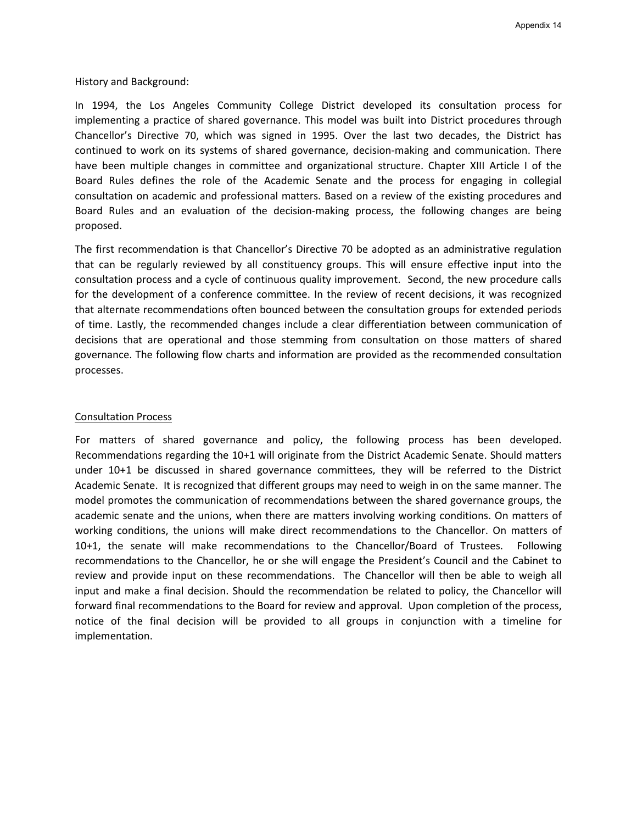History and Background:

In 1994, the Los Angeles Community College District developed its consultation process for implementing a practice of shared governance. This model was built into District procedures through Chancellor's Directive 70, which was signed in 1995. Over the last two decades, the District has continued to work on its systems of shared governance, decision-making and communication. There have been multiple changes in committee and organizational structure. Chapter XIII Article I of the Board Rules defines the role of the Academic Senate and the process for engaging in collegial consultation on academic and professional matters. Based on a review of the existing procedures and Board Rules and an evaluation of the decision-making process, the following changes are being proposed.

The first recommendation is that Chancellor's Directive 70 be adopted as an administrative regulation that can be regularly reviewed by all constituency groups. This will ensure effective input into the consultation process and a cycle of continuous quality improvement. Second, the new procedure calls for the development of a conference committee. In the review of recent decisions, it was recognized that alternate recommendations often bounced between the consultation groups for extended periods of time. Lastly, the recommended changes include a clear differentiation between communication of decisions that are operational and those stemming from consultation on those matters of shared governance. The following flow charts and information are provided as the recommended consultation processes.

## Consultation Process

For matters of shared governance and policy, the following process has been developed. Recommendations regarding the 10+1 will originate from the District Academic Senate. Should matters under 10+1 be discussed in shared governance committees, they will be referred to the District Academic Senate. It is recognized that different groups may need to weigh in on the same manner. The model promotes the communication of recommendations between the shared governance groups, the academic senate and the unions, when there are matters involving working conditions. On matters of working conditions, the unions will make direct recommendations to the Chancellor. On matters of 10+1, the senate will make recommendations to the Chancellor/Board of Trustees. Following recommendations to the Chancellor, he or she will engage the President's Council and the Cabinet to review and provide input on these recommendations. The Chancellor will then be able to weigh all input and make a final decision. Should the recommendation be related to policy, the Chancellor will forward final recommendations to the Board for review and approval. Upon completion of the process, notice of the final decision will be provided to all groups in conjunction with a timeline for implementation.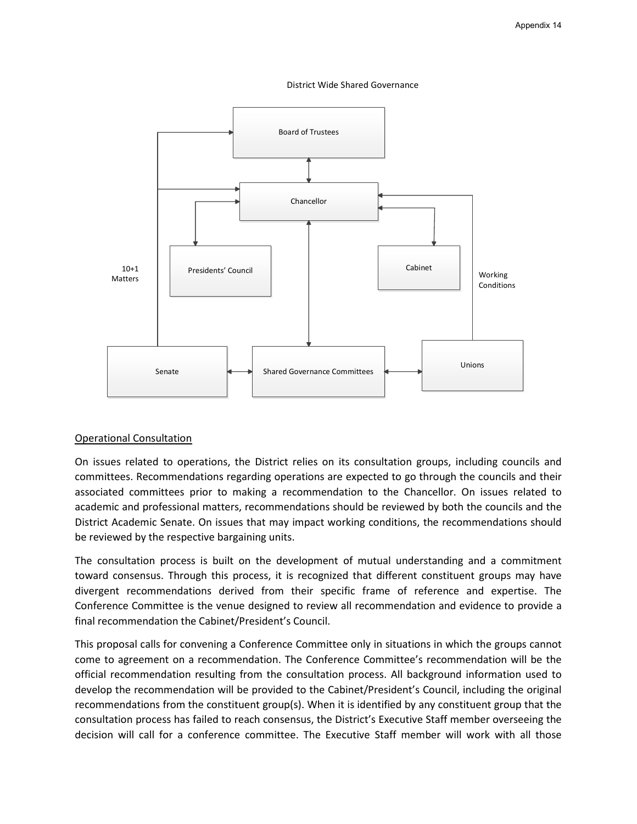



## Operational Consultation

On issues related to operations, the District relies on its consultation groups, including councils and committees. Recommendations regarding operations are expected to go through the councils and their associated committees prior to making a recommendation to the Chancellor. On issues related to academic and professional matters, recommendations should be reviewed by both the councils and the District Academic Senate. On issues that may impact working conditions, the recommendations should be reviewed by the respective bargaining units.

The consultation process is built on the development of mutual understanding and a commitment toward consensus. Through this process, it is recognized that different constituent groups may have divergent recommendations derived from their specific frame of reference and expertise. The Conference Committee is the venue designed to review all recommendation and evidence to provide a final recommendation the Cabinet/President's Council.

This proposal calls for convening a Conference Committee only in situations in which the groups cannot come to agreement on a recommendation. The Conference Committee's recommendation will be the official recommendation resulting from the consultation process. All background information used to develop the recommendation will be provided to the Cabinet/President's Council, including the original recommendations from the constituent group(s). When it is identified by any constituent group that the consultation process has failed to reach consensus, the District's Executive Staff member overseeing the decision will call for a conference committee. The Executive Staff member will work with all those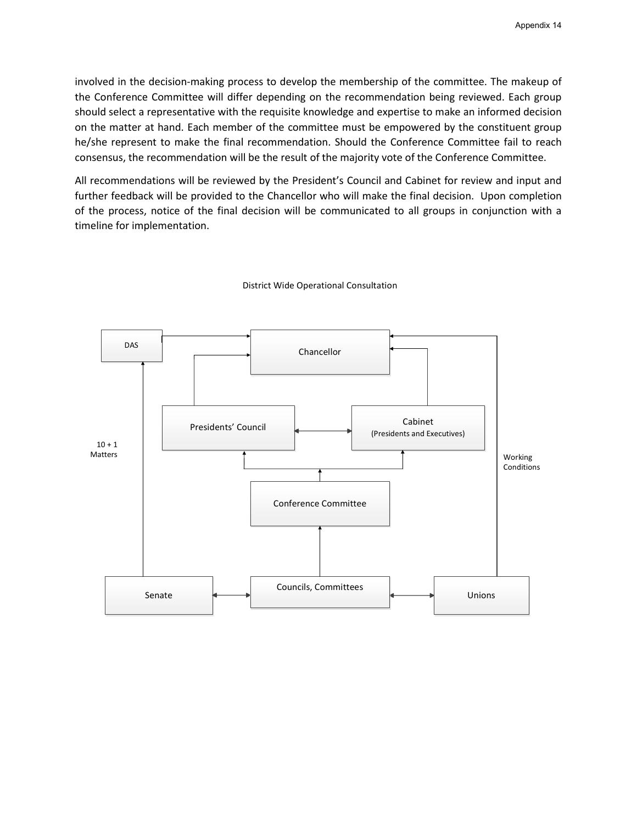involved in the decision-making process to develop the membership of the committee. The makeup of the Conference Committee will differ depending on the recommendation being reviewed. Each group should select a representative with the requisite knowledge and expertise to make an informed decision on the matter at hand. Each member of the committee must be empowered by the constituent group he/she represent to make the final recommendation. Should the Conference Committee fail to reach consensus, the recommendation will be the result of the majority vote of the Conference Committee.

All recommendations will be reviewed by the President's Council and Cabinet for review and input and further feedback will be provided to the Chancellor who will make the final decision. Upon completion of the process, notice of the final decision will be communicated to all groups in conjunction with a timeline for implementation.



## District Wide Operational Consultation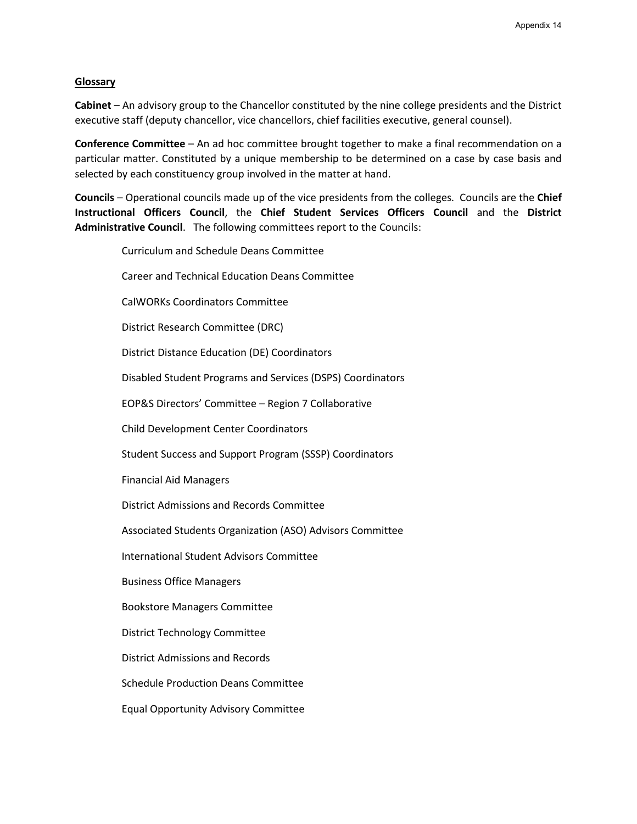## **Glossary**

**Cabinet** – An advisory group to the Chancellor constituted by the nine college presidents and the District executive staff (deputy chancellor, vice chancellors, chief facilities executive, general counsel).

**Conference Committee** – An ad hoc committee brought together to make a final recommendation on a particular matter. Constituted by a unique membership to be determined on a case by case basis and selected by each constituency group involved in the matter at hand.

**Councils** – Operational councils made up of the vice presidents from the colleges. Councils are the **Chief Instructional Officers Council**, the **Chief Student Services Officers Council** and the **District Administrative Council**. The following committees report to the Councils:

| <b>Curriculum and Schedule Deans Committee</b>                 |
|----------------------------------------------------------------|
| <b>Career and Technical Education Deans Committee</b>          |
| <b>CalWORKs Coordinators Committee</b>                         |
| District Research Committee (DRC)                              |
| <b>District Distance Education (DE) Coordinators</b>           |
| Disabled Student Programs and Services (DSPS) Coordinators     |
| EOP&S Directors' Committee - Region 7 Collaborative            |
| <b>Child Development Center Coordinators</b>                   |
| <b>Student Success and Support Program (SSSP) Coordinators</b> |
| <b>Financial Aid Managers</b>                                  |
| <b>District Admissions and Records Committee</b>               |
| Associated Students Organization (ASO) Advisors Committee      |
| <b>International Student Advisors Committee</b>                |
| <b>Business Office Managers</b>                                |
| <b>Bookstore Managers Committee</b>                            |
| <b>District Technology Committee</b>                           |
| <b>District Admissions and Records</b>                         |
| <b>Schedule Production Deans Committee</b>                     |
| <b>Equal Opportunity Advisory Committee</b>                    |